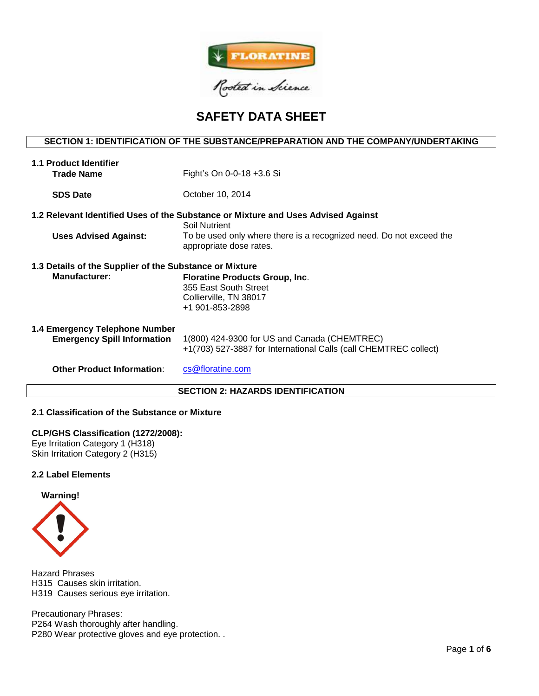

# **SAFETY DATA SHEET**

## **SECTION 1: IDENTIFICATION OF THE SUBSTANCE/PREPARATION AND THE COMPANY/UNDERTAKING**

| 1.1 Product Identifier                                               |                                                                                                                  |  |  |  |  |  |
|----------------------------------------------------------------------|------------------------------------------------------------------------------------------------------------------|--|--|--|--|--|
| <b>Trade Name</b>                                                    | Fight's On 0-0-18 +3.6 Si                                                                                        |  |  |  |  |  |
| <b>SDS Date</b>                                                      | October 10, 2014                                                                                                 |  |  |  |  |  |
|                                                                      | 1.2 Relevant Identified Uses of the Substance or Mixture and Uses Advised Against<br>Soil Nutrient               |  |  |  |  |  |
| <b>Uses Advised Against:</b>                                         | To be used only where there is a recognized need. Do not exceed the<br>appropriate dose rates.                   |  |  |  |  |  |
| 1.3 Details of the Supplier of the Substance or Mixture              |                                                                                                                  |  |  |  |  |  |
| <b>Manufacturer:</b>                                                 | <b>Floratine Products Group, Inc.</b><br>355 East South Street<br>Collierville, TN 38017<br>+1 901-853-2898      |  |  |  |  |  |
| 1.4 Emergency Telephone Number<br><b>Emergency Spill Information</b> | 1(800) 424-9300 for US and Canada (CHEMTREC)<br>+1(703) 527-3887 for International Calls (call CHEMTREC collect) |  |  |  |  |  |
| <b>Other Product Information:</b>                                    | cs@floratine.com                                                                                                 |  |  |  |  |  |
| <b>SECTION 2: HAZARDS IDENTIFICATION</b>                             |                                                                                                                  |  |  |  |  |  |

## **2.1 Classification of the Substance or Mixture**

#### **CLP/GHS Classification (1272/2008):**

Eye Irritation Category 1 (H318) Skin Irritation Category 2 (H315)

## **2.2 Label Elements**



Hazard Phrases H315 Causes skin irritation. H319 Causes serious eye irritation.

Precautionary Phrases: P264 Wash thoroughly after handling. P280 Wear protective gloves and eye protection. .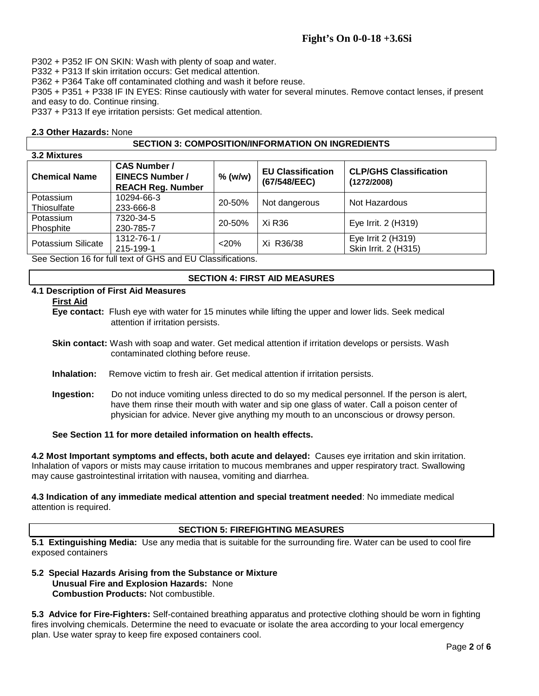# **Fight's On 0-0-18 +3.6Si**

P302 + P352 IF ON SKIN: Wash with plenty of soap and water.

P332 + P313 If skin irritation occurs: Get medical attention.

P362 + P364 Take off contaminated clothing and wash it before reuse.

P305 + P351 + P338 IF IN EYES: Rinse cautiously with water for several minutes. Remove contact lenses, if present and easy to do. Continue rinsing.

P337 + P313 If eye irritation persists: Get medical attention.

## **2.3 Other Hazards:** None

## **SECTION 3: COMPOSITION/INFORMATION ON INGREDIENTS**

| 3.2 Mixtures             |                                                                           |           |                                          |                                              |  |  |  |
|--------------------------|---------------------------------------------------------------------------|-----------|------------------------------------------|----------------------------------------------|--|--|--|
| <b>Chemical Name</b>     | <b>CAS Number /</b><br><b>EINECS Number /</b><br><b>REACH Reg. Number</b> | $%$ (w/w) | <b>EU Classification</b><br>(67/548/EEC) | <b>CLP/GHS Classification</b><br>(1272/2008) |  |  |  |
| Potassium<br>Thiosulfate | 10294-66-3<br>233-666-8                                                   | 20-50%    | Not dangerous                            | Not Hazardous                                |  |  |  |
| Potassium<br>Phosphite   | 7320-34-5<br>230-785-7                                                    | 20-50%    | Xi R36                                   | Eye Irrit. 2 (H319)                          |  |  |  |
| Potassium Silicate       | 1312-76-1 /<br>215-199-1                                                  | $<$ 20%   | Xi R36/38                                | Eye Irrit 2 (H319)<br>Skin Irrit. 2 (H315)   |  |  |  |

See Section 16 for full text of GHS and EU Classifications.

## **SECTION 4: FIRST AID MEASURES**

## **4.1 Description of First Aid Measures**

#### **First Aid**

**Eye contact:** Flush eye with water for 15 minutes while lifting the upper and lower lids. Seek medical attention if irritation persists.

**Skin contact:** Wash with soap and water. Get medical attention if irritation develops or persists. Wash contaminated clothing before reuse.

- **Inhalation:** Remove victim to fresh air. Get medical attention if irritation persists.
- **Ingestion:** Do not induce vomiting unless directed to do so my medical personnel. If the person is alert, have them rinse their mouth with water and sip one glass of water. Call a poison center of physician for advice. Never give anything my mouth to an unconscious or drowsy person.

**See Section 11 for more detailed information on health effects.**

**4.2 Most Important symptoms and effects, both acute and delayed:** Causes eye irritation and skin irritation. Inhalation of vapors or mists may cause irritation to mucous membranes and upper respiratory tract. Swallowing may cause gastrointestinal irritation with nausea, vomiting and diarrhea.

**4.3 Indication of any immediate medical attention and special treatment needed**: No immediate medical attention is required.

## **SECTION 5: FIREFIGHTING MEASURES**

**5.1 Extinguishing Media:** Use any media that is suitable for the surrounding fire. Water can be used to cool fire exposed containers

## **5.2 Special Hazards Arising from the Substance or Mixture Unusual Fire and Explosion Hazards:** None **Combustion Products:** Not combustible.

**5.3 Advice for Fire-Fighters:** Self-contained breathing apparatus and protective clothing should be worn in fighting fires involving chemicals. Determine the need to evacuate or isolate the area according to your local emergency plan. Use water spray to keep fire exposed containers cool.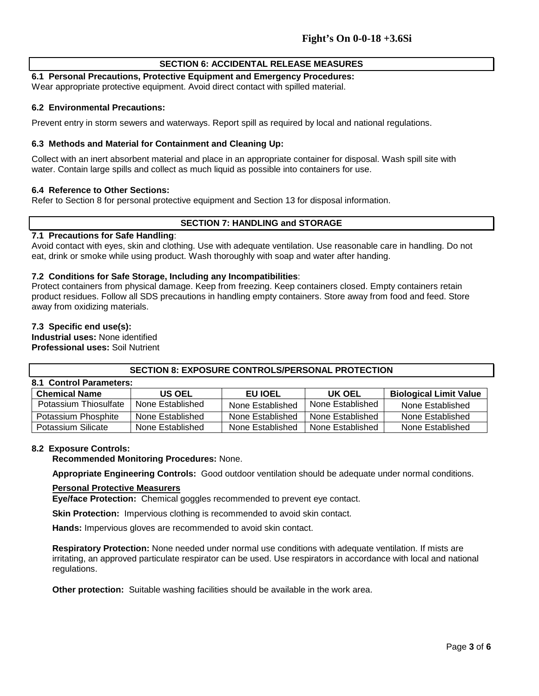## **SECTION 6: ACCIDENTAL RELEASE MEASURES**

## **6.1 Personal Precautions, Protective Equipment and Emergency Procedures:**

Wear appropriate protective equipment. Avoid direct contact with spilled material.

#### **6.2 Environmental Precautions:**

Prevent entry in storm sewers and waterways. Report spill as required by local and national regulations.

## **6.3 Methods and Material for Containment and Cleaning Up:**

Collect with an inert absorbent material and place in an appropriate container for disposal. Wash spill site with water. Contain large spills and collect as much liquid as possible into containers for use.

#### **6.4 Reference to Other Sections:**

Refer to Section 8 for personal protective equipment and Section 13 for disposal information.

## **SECTION 7: HANDLING and STORAGE**

#### **7.1 Precautions for Safe Handling**:

Avoid contact with eyes, skin and clothing. Use with adequate ventilation. Use reasonable care in handling. Do not eat, drink or smoke while using product. Wash thoroughly with soap and water after handing.

#### **7.2 Conditions for Safe Storage, Including any Incompatibilities**:

Protect containers from physical damage. Keep from freezing. Keep containers closed. Empty containers retain product residues. Follow all SDS precautions in handling empty containers. Store away from food and feed. Store away from oxidizing materials.

#### **7.3 Specific end use(s):**

**Industrial uses:** None identified **Professional uses:** Soil Nutrient

## **SECTION 8: EXPOSURE CONTROLS/PERSONAL PROTECTION**

| 8.1 Control Parameters: |                  |                  |                  |                               |  |  |  |  |  |
|-------------------------|------------------|------------------|------------------|-------------------------------|--|--|--|--|--|
| <b>Chemical Name</b>    | <b>US OEL</b>    | <b>EU IOEL</b>   | UK OEL           | <b>Biological Limit Value</b> |  |  |  |  |  |
| Potassium Thiosulfate   | None Established | None Established | None Established | None Established              |  |  |  |  |  |
| Potassium Phosphite     | None Established | None Established | None Established | None Established              |  |  |  |  |  |
| Potassium Silicate      | None Established | None Established | None Established | None Established              |  |  |  |  |  |

## **8.2 Exposure Controls:**

**Recommended Monitoring Procedures:** None.

**Appropriate Engineering Controls:** Good outdoor ventilation should be adequate under normal conditions.

#### **Personal Protective Measurers**

**Eye/face Protection:** Chemical goggles recommended to prevent eye contact.

**Skin Protection:** Impervious clothing is recommended to avoid skin contact.

**Hands:** Impervious gloves are recommended to avoid skin contact.

**Respiratory Protection:** None needed under normal use conditions with adequate ventilation. If mists are irritating, an approved particulate respirator can be used. Use respirators in accordance with local and national regulations.

**Other protection:** Suitable washing facilities should be available in the work area.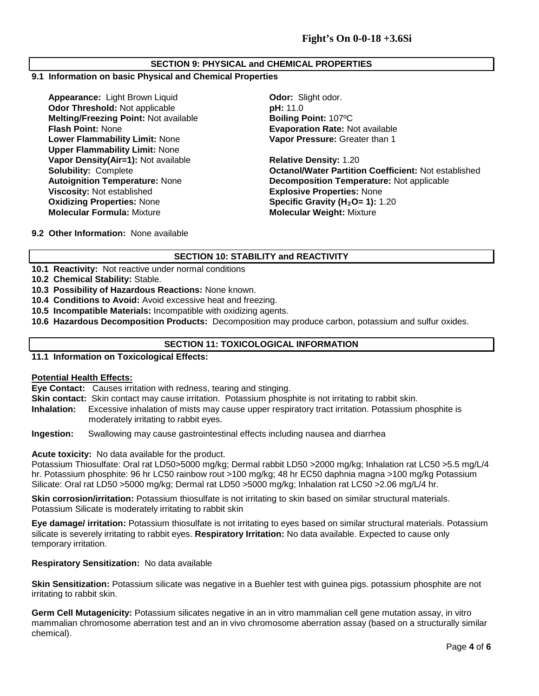## **SECTION 9: PHYSICAL and CHEMICAL PROPERTIES**

## **9.1 Information on basic Physical and Chemical Properties**

**Appearance:** Light Brown Liquid **Cappearance: Communist Codor: Slight odor.**<br> **Odor Threshold:** Not applicable **Communist Codor: pH:** 11.0 **Odor Threshold: Not applicable Melting/Freezing Point:** Not available **Boiling Point:** 107ºC **Flash Point:** None **Evaporation Rate:** Not available **Lower Flammability Limit:** None **Upper Flammability Limit:** None **Vapor Density(Air=1):** Not available **Relative Density:** 1.20 **Viscosity:** Not established **Explosive Properties:** None **Oxidizing Properties:** None **Specific Gravity (H<sub>2</sub>O= 1):** 1.20<br> **Molecular Formula:** Mixture **State of Molecular Weight:** Mixture

**Vapor Pressure:** Greater than 1

**Solubility:** Complete **Outrary Complete** *Detanol/Water Partition Coefficient:* **Not established Autoignition Temperature: Not applicable Autoignition Temperature: Not applicable Decomposition Temperature: Not applicable Molecular Weight: Mixture** 

**9.2 Other Information:** None available

# **SECTION 10: STABILITY and REACTIVITY**

**10.1 Reactivity:** Not reactive under normal conditions

**10.2 Chemical Stability:** Stable.

- **10.3 Possibility of Hazardous Reactions:** None known.
- **10.4 Conditions to Avoid:** Avoid excessive heat and freezing.
- **10.5 Incompatible Materials:** Incompatible with oxidizing agents.
- **10.6 Hazardous Decomposition Products:** Decomposition may produce carbon, potassium and sulfur oxides.

# **SECTION 11: TOXICOLOGICAL INFORMATION**

**11.1 Information on Toxicological Effects:** 

## **Potential Health Effects:**

**Eye Contact:** Causes irritation with redness, tearing and stinging.

**Skin contact:** Skin contact may cause irritation. Potassium phosphite is not irritating to rabbit skin.

**Inhalation:** Excessive inhalation of mists may cause upper respiratory tract irritation. Potassium phosphite is moderately irritating to rabbit eyes.

**Ingestion:** Swallowing may cause gastrointestinal effects including nausea and diarrhea

## **Acute toxicity:** No data available for the product.

Potassium Thiosulfate: Oral rat LD50>5000 mg/kg; Dermal rabbit LD50 >2000 mg/kg; Inhalation rat LC50 >5.5 mg/L/4 hr. Potassium phosphite: 96 hr LC50 rainbow rout >100 mg/kg; 48 hr EC50 daphnia magna >100 mg/kg Potassium Silicate: Oral rat LD50 >5000 mg/kg; Dermal rat LD50 >5000 mg/kg; Inhalation rat LC50 >2.06 mg/L/4 hr.

**Skin corrosion/irritation:** Potassium thiosulfate is not irritating to skin based on similar structural materials. Potassium Silicate is moderately irritating to rabbit skin

**Eye damage/ irritation:** Potassium thiosulfate is not irritating to eyes based on similar structural materials. Potassium silicate is severely irritating to rabbit eyes. **Respiratory Irritation:** No data available. Expected to cause only temporary irritation.

## **Respiratory Sensitization:** No data available

**Skin Sensitization:** Potassium silicate was negative in a Buehler test with guinea pigs. potassium phosphite are not irritating to rabbit skin.

**Germ Cell Mutagenicity:** Potassium silicates negative in an in vitro mammalian cell gene mutation assay, in vitro mammalian chromosome aberration test and an in vivo chromosome aberration assay (based on a structurally similar chemical).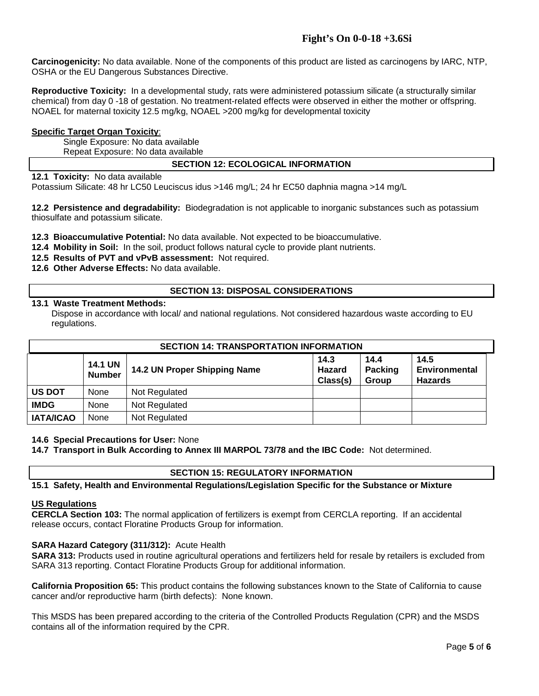**Carcinogenicity:** No data available. None of the components of this product are listed as carcinogens by IARC, NTP, OSHA or the EU Dangerous Substances Directive.

**Reproductive Toxicity:** In a developmental study, rats were administered potassium silicate (a structurally similar chemical) from day 0 -18 of gestation. No treatment-related effects were observed in either the mother or offspring. NOAEL for maternal toxicity 12.5 mg/kg, NOAEL >200 mg/kg for developmental toxicity

## **Specific Target Organ Toxicity**:

Single Exposure: No data available Repeat Exposure: No data available

# **SECTION 12: ECOLOGICAL INFORMATION**

**12.1 Toxicity:** No data available

Potassium Silicate: 48 hr LC50 Leuciscus idus >146 mg/L; 24 hr EC50 daphnia magna >14 mg/L

**12.2 Persistence and degradability:** Biodegradation is not applicable to inorganic substances such as potassium thiosulfate and potassium silicate.

**12.3 Bioaccumulative Potential:** No data available. Not expected to be bioaccumulative.

- **12.4 Mobility in Soil:** In the soil, product follows natural cycle to provide plant nutrients.
- **12.5 Results of PVT and vPvB assessment:** Not required.
- **12.6 Other Adverse Effects:** No data available.

# **SECTION 13: DISPOSAL CONSIDERATIONS**

## **13.1 Waste Treatment Methods:**

Dispose in accordance with local/ and national regulations. Not considered hazardous waste according to EU regulations.

| <b>SECTION 14: TRANSPORTATION INFORMATION</b> |                                 |                              |                            |                          |                                         |  |  |
|-----------------------------------------------|---------------------------------|------------------------------|----------------------------|--------------------------|-----------------------------------------|--|--|
|                                               | <b>14.1 UN</b><br><b>Number</b> | 14.2 UN Proper Shipping Name | 14.3<br>Hazard<br>Class(s) | 14.4<br>Packing<br>Group | 14.5<br>Environmental<br><b>Hazards</b> |  |  |
| <b>US DOT</b>                                 | None                            | Not Regulated                |                            |                          |                                         |  |  |
| <b>IMDG</b>                                   | None                            | Not Regulated                |                            |                          |                                         |  |  |
| <b>IATA/ICAO</b>                              | None                            | Not Regulated                |                            |                          |                                         |  |  |

## **14.6 Special Precautions for User:** None

**14.7 Transport in Bulk According to Annex III MARPOL 73/78 and the IBC Code:** Not determined.

# **SECTION 15: REGULATORY INFORMATION**

**15.1 Safety, Health and Environmental Regulations/Legislation Specific for the Substance or Mixture**

## **US Regulations**

**CERCLA Section 103:** The normal application of fertilizers is exempt from CERCLA reporting. If an accidental release occurs, contact Floratine Products Group for information.

## **SARA Hazard Category (311/312):** Acute Health

**SARA 313:** Products used in routine agricultural operations and fertilizers held for resale by retailers is excluded from SARA 313 reporting. Contact Floratine Products Group for additional information.

**California Proposition 65:** This product contains the following substances known to the State of California to cause cancer and/or reproductive harm (birth defects): None known.

This MSDS has been prepared according to the criteria of the Controlled Products Regulation (CPR) and the MSDS contains all of the information required by the CPR.